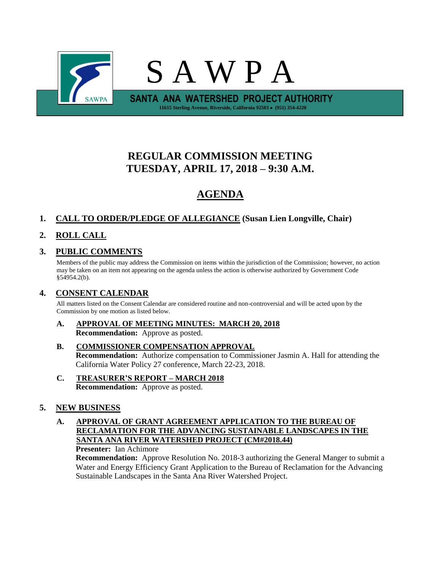

# **REGULAR COMMISSION MEETING TUESDAY, APRIL 17, 2018 – 9:30 A.M.**

# **AGENDA**

# **1. CALL TO ORDER/PLEDGE OF ALLEGIANCE (Susan Lien Longville, Chair)**

# **2. ROLL CALL**

# **3. PUBLIC COMMENTS**

Members of the public may address the Commission on items within the jurisdiction of the Commission; however, no action may be taken on an item not appearing on the agenda unless the action is otherwise authorized by Government Code §54954.2(b).

# **4. CONSENT CALENDAR**

All matters listed on the Consent Calendar are considered routine and non-controversial and will be acted upon by the Commission by one motion as listed below.

**A. APPROVAL OF MEETING MINUTES: MARCH 20, 2018 Recommendation:** Approve as posted.

### **B. COMMISSIONER COMPENSATION APPROVAL Recommendation:** Authorize compensation to Commissioner Jasmin A. Hall for attending the California Water Policy 27 conference, March 22-23, 2018.

**C. TREASURER'S REPORT – MARCH 2018 Recommendation:** Approve as posted.

# **5. NEW BUSINESS**

**A. APPROVAL OF GRANT AGREEMENT APPLICATION TO THE BUREAU OF RECLAMATION FOR THE ADVANCING SUSTAINABLE LANDSCAPES IN THE SANTA ANA RIVER WATERSHED PROJECT (CM#2018.44)**

**Presenter:** Ian Achimore

**Recommendation:** Approve Resolution No. 2018-3 authorizing the General Manger to submit a Water and Energy Efficiency Grant Application to the Bureau of Reclamation for the Advancing Sustainable Landscapes in the Santa Ana River Watershed Project.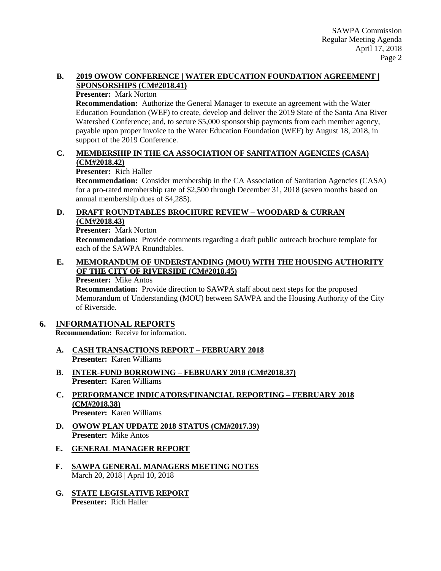### **B. 2019 OWOW CONFERENCE | WATER EDUCATION FOUNDATION AGREEMENT | SPONSORSHIPS (CM#2018.41)**

#### **Presenter:** Mark Norton

**Recommendation:** Authorize the General Manager to execute an agreement with the Water Education Foundation (WEF) to create, develop and deliver the 2019 State of the Santa Ana River Watershed Conference; and, to secure \$5,000 sponsorship payments from each member agency, payable upon proper invoice to the Water Education Foundation (WEF) by August 18, 2018, in support of the 2019 Conference.

### **C. MEMBERSHIP IN THE CA ASSOCIATION OF SANITATION AGENCIES (CASA) (CM#2018.42)**

**Presenter:** Rich Haller

**Recommendation:** Consider membership in the CA Association of Sanitation Agencies (CASA) for a pro-rated membership rate of \$2,500 through December 31, 2018 (seven months based on annual membership dues of \$4,285).

### **D. DRAFT ROUNDTABLES BROCHURE REVIEW – WOODARD & CURRAN (CM#2018.43)**

**Presenter:** Mark Norton

**Recommendation:** Provide comments regarding a draft public outreach brochure template for each of the SAWPA Roundtables.

### **E. MEMORANDUM OF UNDERSTANDING (MOU) WITH THE HOUSING AUTHORITY OF THE CITY OF RIVERSIDE (CM#2018.45)**

**Presenter:** Mike Antos

**Recommendation:** Provide direction to SAWPA staff about next steps for the proposed Memorandum of Understanding (MOU) between SAWPA and the Housing Authority of the City of Riverside.

# **6. INFORMATIONAL REPORTS**

**Recommendation:** Receive for information.

- **A. CASH TRANSACTIONS REPORT – FEBRUARY 2018 Presenter:** Karen Williams
- **B. INTER-FUND BORROWING – FEBRUARY 2018 (CM#2018.37) Presenter:** Karen Williams
- **C. PERFORMANCE INDICATORS/FINANCIAL REPORTING – FEBRUARY 2018 (CM#2018.38) Presenter:** Karen Williams
- **D. OWOW PLAN UPDATE 2018 STATUS (CM#2017.39) Presenter:** Mike Antos
- **E. GENERAL MANAGER REPORT**
- **F. SAWPA GENERAL MANAGERS MEETING NOTES** March 20, 2018 | April 10, 2018
- **G. STATE LEGISLATIVE REPORT Presenter:** Rich Haller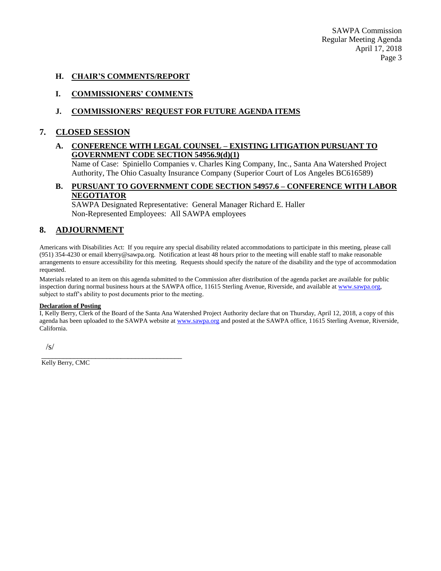SAWPA Commission Regular Meeting Agenda April 17, 2018 Page 3

#### **H. CHAIR'S COMMENTS/REPORT**

### **I. COMMISSIONERS' COMMENTS**

### **J. COMMISSIONERS' REQUEST FOR FUTURE AGENDA ITEMS**

#### **7. CLOSED SESSION**

#### **A. CONFERENCE WITH LEGAL COUNSEL – EXISTING LITIGATION PURSUANT TO GOVERNMENT CODE SECTION 54956.9(d)(1)**

Name of Case: Spiniello Companies v. Charles King Company, Inc., Santa Ana Watershed Project Authority, The Ohio Casualty Insurance Company (Superior Court of Los Angeles BC616589)

#### **B. PURSUANT TO GOVERNMENT CODE SECTION 54957.6 – CONFERENCE WITH LABOR NEGOTIATOR**

SAWPA Designated Representative: General Manager Richard E. Haller Non-Represented Employees: All SAWPA employees

### **8. ADJOURNMENT**

Americans with Disabilities Act: If you require any special disability related accommodations to participate in this meeting, please call (951) 354-4230 or email kberry@sawpa.org. Notification at least 48 hours prior to the meeting will enable staff to make reasonable arrangements to ensure accessibility for this meeting. Requests should specify the nature of the disability and the type of accommodation requested.

Materials related to an item on this agenda submitted to the Commission after distribution of the agenda packet are available for public inspection during normal business hours at the SAWPA office, 11615 Sterling Avenue, Riverside, and available a[t www.sawpa.org,](http://www.sawpa.org/) subject to staff's ability to post documents prior to the meeting.

#### **Declaration of Posting**

I, Kelly Berry, Clerk of the Board of the Santa Ana Watershed Project Authority declare that on Thursday, April 12, 2018, a copy of this agenda has been uploaded to the SAWPA website at [www.sawpa.org](http://www.sawpa.org/) and posted at the SAWPA office, 11615 Sterling Avenue, Riverside, California.

/s/

Kelly Berry, CMC

\_\_\_\_\_\_\_\_\_\_\_\_\_\_\_\_\_\_\_\_\_\_\_\_\_\_\_\_\_\_\_\_\_\_\_\_\_\_\_